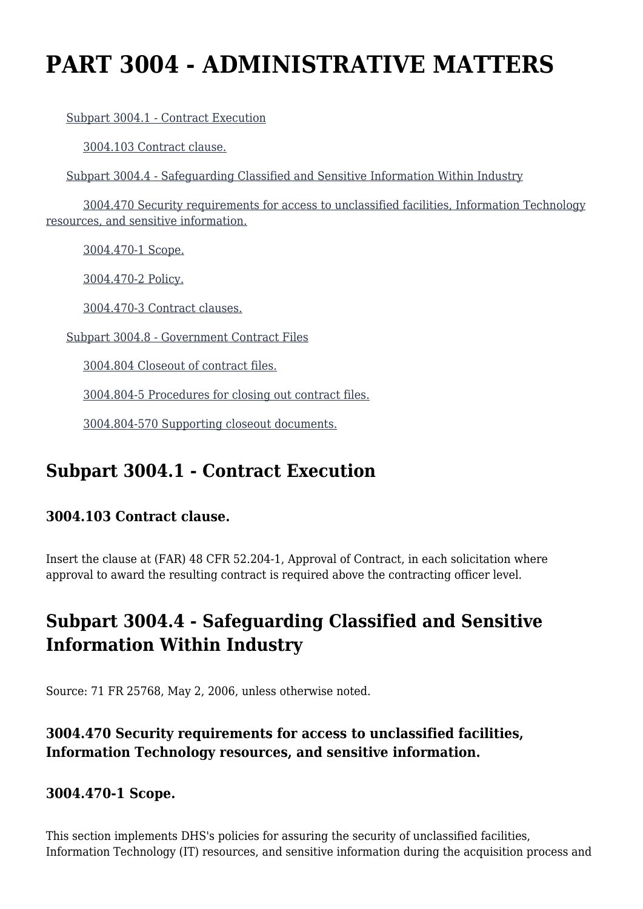# **PART 3004 - ADMINISTRATIVE MATTERS**

[Subpart 3004.1 - Contract Execution](https://origin-www.acquisition.gov/%5Brp:link:hsar-part-3004%5D#Subpart_3004_1_T48_702851)

[3004.103 Contract clause.](https://origin-www.acquisition.gov/%5Brp:link:hsar-part-3004%5D#Section_3004_103_T48_70285111)

[Subpart 3004.4 - Safeguarding Classified and Sensitive Information Within Industry](https://origin-www.acquisition.gov/%5Brp:link:hsar-part-3004%5D#Subpart_3004_4_T48_702852)

 [3004.470 Security requirements for access to unclassified facilities, Information Technology](https://origin-www.acquisition.gov/%5Brp:link:hsar-part-3004%5D#Section_3004_470_T48_70285211) [resources, and sensitive information.](https://origin-www.acquisition.gov/%5Brp:link:hsar-part-3004%5D#Section_3004_470_T48_70285211)

[3004.470-1 Scope.](https://origin-www.acquisition.gov/%5Brp:link:hsar-part-3004%5D#Section_3004_470_1_T48_70285212)

[3004.470-2 Policy.](https://origin-www.acquisition.gov/%5Brp:link:hsar-part-3004%5D#Section_3004_470_2_T48_70285213)

[3004.470-3 Contract clauses.](https://origin-www.acquisition.gov/%5Brp:link:hsar-part-3004%5D#Section_3004_470_3_T48_70285214)

[Subpart 3004.8 - Government Contract Files](https://origin-www.acquisition.gov/%5Brp:link:hsar-part-3004%5D#Subpart_3004_8_T48_702853)

[3004.804 Closeout of contract files.](https://origin-www.acquisition.gov/%5Brp:link:hsar-part-3004%5D#Section_3004_804_T48_70285311)

[3004.804-5 Procedures for closing out contract files.](https://origin-www.acquisition.gov/%5Brp:link:hsar-part-3004%5D#Section_3004_804_5_T48_70285312)

[3004.804-570 Supporting closeout documents.](https://origin-www.acquisition.gov/%5Brp:link:hsar-part-3004%5D#Section_3004_804_570_T48_70285313)

## **Subpart 3004.1 - Contract Execution**

## **3004.103 Contract clause.**

Insert the clause at (FAR) 48 CFR 52.204-1, Approval of Contract, in each solicitation where approval to award the resulting contract is required above the contracting officer level.

# **Subpart 3004.4 - Safeguarding Classified and Sensitive Information Within Industry**

Source: 71 FR 25768, May 2, 2006, unless otherwise noted.

## **3004.470 Security requirements for access to unclassified facilities, Information Technology resources, and sensitive information.**

## **3004.470-1 Scope.**

This section implements DHS's policies for assuring the security of unclassified facilities, Information Technology (IT) resources, and sensitive information during the acquisition process and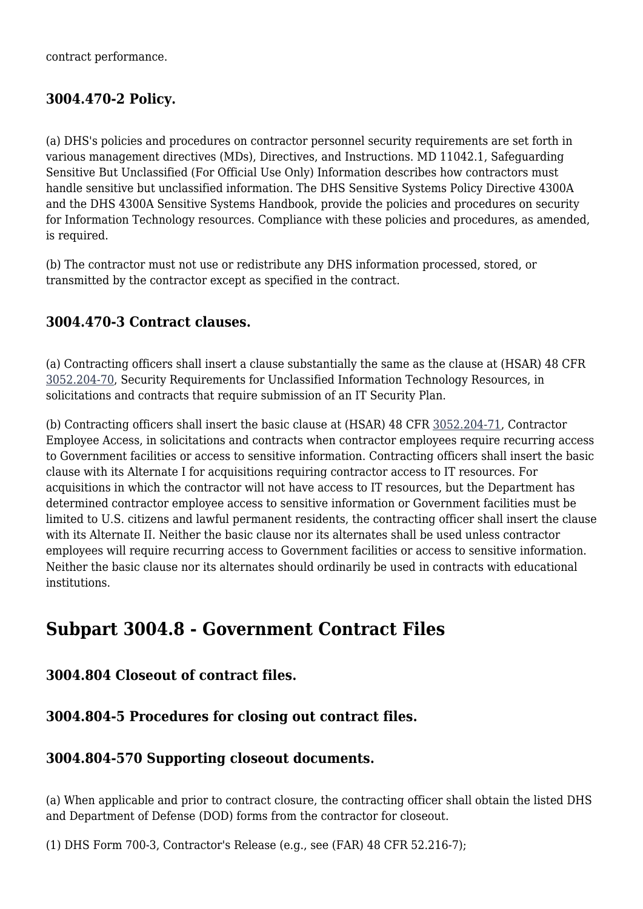contract performance.

## **3004.470-2 Policy.**

(a) DHS's policies and procedures on contractor personnel security requirements are set forth in various management directives (MDs), Directives, and Instructions. MD 11042.1, Safeguarding Sensitive But Unclassified (For Official Use Only) Information describes how contractors must handle sensitive but unclassified information. The DHS Sensitive Systems Policy Directive 4300A and the DHS 4300A Sensitive Systems Handbook, provide the policies and procedures on security for Information Technology resources. Compliance with these policies and procedures, as amended, is required.

(b) The contractor must not use or redistribute any DHS information processed, stored, or transmitted by the contractor except as specified in the contract.

#### **3004.470-3 Contract clauses.**

(a) Contracting officers shall insert a clause substantially the same as the clause at (HSAR) 48 CFR [3052.204-70,](https://origin-www.acquisition.gov/%5Brp:link:hsar-part-3052%5D#Section_3052_204_70_T48_7021551212) Security Requirements for Unclassified Information Technology Resources, in solicitations and contracts that require submission of an IT Security Plan.

(b) Contracting officers shall insert the basic clause at (HSAR) 48 CFR [3052.204-71](https://origin-www.acquisition.gov/%5Brp:link:hsar-part-3052%5D#Section_3052_204_71_T48_7021551213), Contractor Employee Access, in solicitations and contracts when contractor employees require recurring access to Government facilities or access to sensitive information. Contracting officers shall insert the basic clause with its Alternate I for acquisitions requiring contractor access to IT resources. For acquisitions in which the contractor will not have access to IT resources, but the Department has determined contractor employee access to sensitive information or Government facilities must be limited to U.S. citizens and lawful permanent residents, the contracting officer shall insert the clause with its Alternate II. Neither the basic clause nor its alternates shall be used unless contractor employees will require recurring access to Government facilities or access to sensitive information. Neither the basic clause nor its alternates should ordinarily be used in contracts with educational institutions.

## **Subpart 3004.8 - Government Contract Files**

**3004.804 Closeout of contract files.**

#### **3004.804-5 Procedures for closing out contract files.**

#### **3004.804-570 Supporting closeout documents.**

(a) When applicable and prior to contract closure, the contracting officer shall obtain the listed DHS and Department of Defense (DOD) forms from the contractor for closeout.

(1) DHS Form 700-3, Contractor's Release (e.g., see (FAR) 48 CFR 52.216-7);